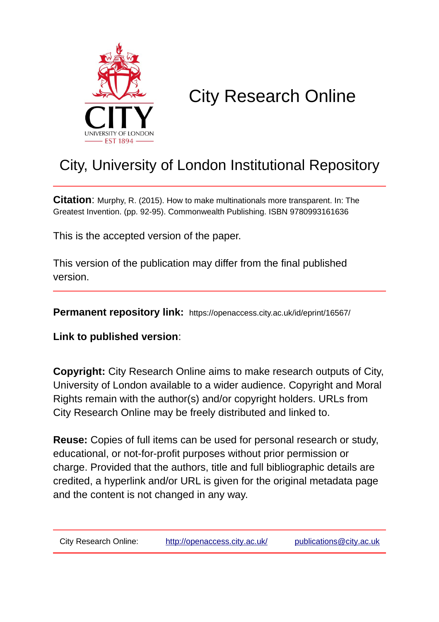

# City Research Online

## City, University of London Institutional Repository

**Citation**: Murphy, R. (2015). How to make multinationals more transparent. In: The Greatest Invention. (pp. 92-95). Commonwealth Publishing. ISBN 9780993161636

This is the accepted version of the paper.

This version of the publication may differ from the final published version.

**Permanent repository link:** https://openaccess.city.ac.uk/id/eprint/16567/

**Link to published version**:

**Copyright:** City Research Online aims to make research outputs of City, University of London available to a wider audience. Copyright and Moral Rights remain with the author(s) and/or copyright holders. URLs from City Research Online may be freely distributed and linked to.

**Reuse:** Copies of full items can be used for personal research or study, educational, or not-for-profit purposes without prior permission or charge. Provided that the authors, title and full bibliographic details are credited, a hyperlink and/or URL is given for the original metadata page and the content is not changed in any way.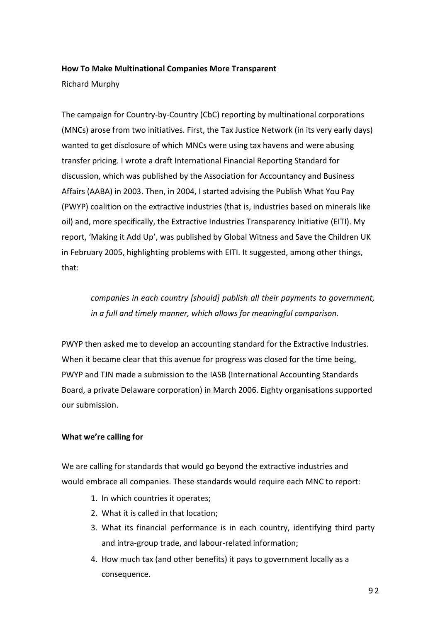### **How To Make Multinational Companies More Transparent**

Richard Murphy

The campaign for Country-by-Country (CbC) reporting by multinational corporations (MNCs) arose from two initiatives. First, the Tax Justice Network (in its very early days) wanted to get disclosure of which MNCs were using tax havens and were abusing transfer pricing. I wrote a draft International Financial Reporting Standard for discussion, which was published by the Association for Accountancy and Business Affairs (AABA) in 2003. Then, in 2004, I started advising the Publish What You Pay (PWYP) coalition on the extractive industries (that is, industries based on minerals like oil) and, more specifically, the Extractive Industries Transparency Initiative (EITI). My report, 'Making it Add Up', was published by Global Witness and Save the Children UK in February 2005, highlighting problems with EITI. It suggested, among other things, that:

*companies in each country [should] publish all their payments to government, in a full and timely manner, which allows for meaningful comparison.*

PWYP then asked me to develop an accounting standard for the Extractive Industries. When it became clear that this avenue for progress was closed for the time being, PWYP and TJN made a submission to the IASB (International Accounting Standards Board, a private Delaware corporation) in March 2006. Eighty organisations supported our submission.

#### **What we're calling for**

We are calling for standards that would go beyond the extractive industries and would embrace all companies. These standards would require each MNC to report:

- 1. In which countries it operates;
- 2. What it is called in that location;
- 3. What its financial performance is in each country, identifying third party and intra-group trade, and labour-related information;
- 4. How much tax (and other benefits) it pays to government locally as a consequence.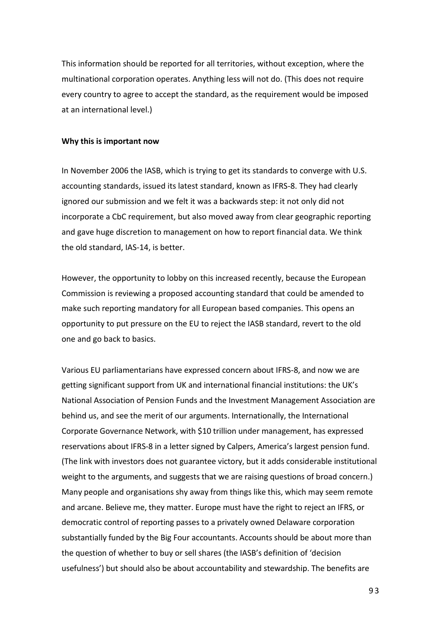This information should be reported for all territories, without exception, where the multinational corporation operates. Anything less will not do. (This does not require every country to agree to accept the standard, as the requirement would be imposed at an international level.)

#### **Why this is important now**

In November 2006 the IASB, which is trying to get its standards to converge with U.S. accounting standards, issued its latest standard, known as IFRS-8. They had clearly ignored our submission and we felt it was a backwards step: it not only did not incorporate a CbC requirement, but also moved away from clear geographic reporting and gave huge discretion to management on how to report financial data. We think the old standard, IAS-14, is better.

However, the opportunity to lobby on this increased recently, because the European Commission is reviewing a proposed accounting standard that could be amended to make such reporting mandatory for all European based companies. This opens an opportunity to put pressure on the EU to reject the IASB standard, revert to the old one and go back to basics.

Various EU parliamentarians have expressed concern about IFRS-8, and now we are getting significant support from UK and international financial institutions: the UK's National Association of Pension Funds and the Investment Management Association are behind us, and see the merit of our arguments. Internationally, the International Corporate Governance Network, with \$10 trillion under management, has expressed reservations about IFRS-8 in a letter signed by Calpers, America's largest pension fund. (The link with investors does not guarantee victory, but it adds considerable institutional weight to the arguments, and suggests that we are raising questions of broad concern.) Many people and organisations shy away from things like this, which may seem remote and arcane. Believe me, they matter. Europe must have the right to reject an IFRS, or democratic control of reporting passes to a privately owned Delaware corporation substantially funded by the Big Four accountants. Accounts should be about more than the question of whether to buy or sell shares (the IASB's definition of 'decision usefulness') but should also be about accountability and stewardship. The benefits are

9 3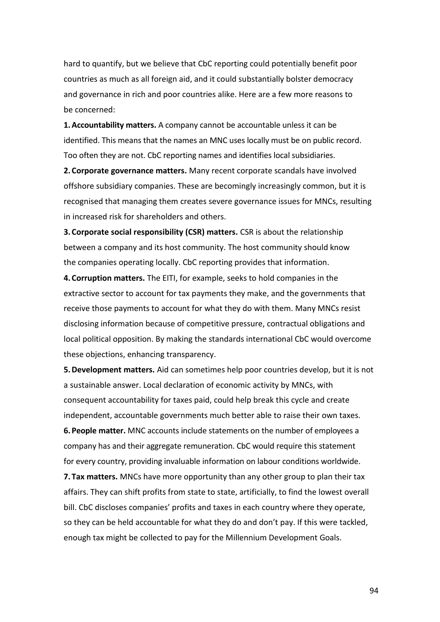hard to quantify, but we believe that CbC reporting could potentially benefit poor countries as much as all foreign aid, and it could substantially bolster democracy and governance in rich and poor countries alike. Here are a few more reasons to be concerned:

**1.Accountability matters.** A company cannot be accountable unless it can be identified. This means that the names an MNC uses locally must be on public record. Too often they are not. CbC reporting names and identifies local subsidiaries.

**2. Corporate governance matters.** Many recent corporate scandals have involved offshore subsidiary companies. These are becomingly increasingly common, but it is recognised that managing them creates severe governance issues for MNCs, resulting in increased risk for shareholders and others.

**3. Corporate social responsibility (CSR) matters.** CSR is about the relationship between a company and its host community. The host community should know the companies operating locally. CbC reporting provides that information.

**4. Corruption matters.** The EITI, for example, seeks to hold companies in the extractive sector to account for tax payments they make, and the governments that receive those payments to account for what they do with them. Many MNCs resist disclosing information because of competitive pressure, contractual obligations and local political opposition. By making the standards international CbC would overcome these objections, enhancing transparency.

**5.Development matters.** Aid can sometimes help poor countries develop, but it is not a sustainable answer. Local declaration of economic activity by MNCs, with consequent accountability for taxes paid, could help break this cycle and create independent, accountable governments much better able to raise their own taxes.

**6.People matter.** MNC accounts include statements on the number of employees a company has and their aggregate remuneration. CbC would require this statement for every country, providing invaluable information on labour conditions worldwide.

**7. Tax matters.** MNCs have more opportunity than any other group to plan their tax affairs. They can shift profits from state to state, artificially, to find the lowest overall bill. CbC discloses companies' profits and taxes in each country where they operate, so they can be held accountable for what they do and don't pay. If this were tackled, enough tax might be collected to pay for the Millennium Development Goals.